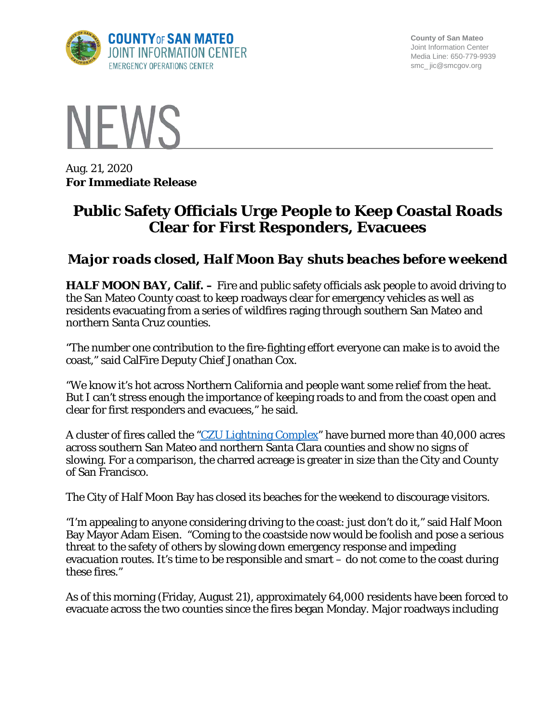

**County of San Mateo** Joint Information Center Media Line: 650-779-9939 smc\_ jic@smcgov.org



Aug. 21, 2020 **For Immediate Release**

## **Public Safety Officials Urge People to Keep Coastal Roads Clear for First Responders, Evacuees**

## *Major roads closed, Half Moon Bay shuts beaches before weekend*

**HALF MOON BAY, Calif.** – Fire and public safety officials ask people to avoid driving to the San Mateo County coast to keep roadways clear for emergency vehicles as well as residents evacuating from a series of wildfires raging through southern San Mateo and northern Santa Cruz counties.

"The number one contribution to the fire-fighting effort everyone can make is to avoid the coast," said CalFire Deputy Chief Jonathan Cox.

"We know it's hot across Northern California and people want some relief from the heat. But I can't stress enough the importance of keeping roads to and from the coast open and clear for first responders and evacuees," he said.

A cluster of fires called the ["CZU Lightning Complex"](https://www.fire.ca.gov/incidents/2020/8/17/czu-august-lightning-complex/) have burned more than 40,000 acres across southern San Mateo and northern Santa Clara counties and show no signs of slowing. For a comparison, the charred acreage is greater in size than the City and County of San Francisco.

The City of Half Moon Bay has closed its beaches for the weekend to discourage visitors.

"I'm appealing to anyone considering driving to the coast: just don't do it," said Half Moon Bay Mayor Adam Eisen. "Coming to the coastside now would be foolish and pose a serious threat to the safety of others by slowing down emergency response and impeding evacuation routes. It's time to be responsible and smart – do not come to the coast during these fires."

As of this morning (Friday, August 21), approximately 64,000 residents have been forced to evacuate across the two counties since the fires began Monday. Major roadways including